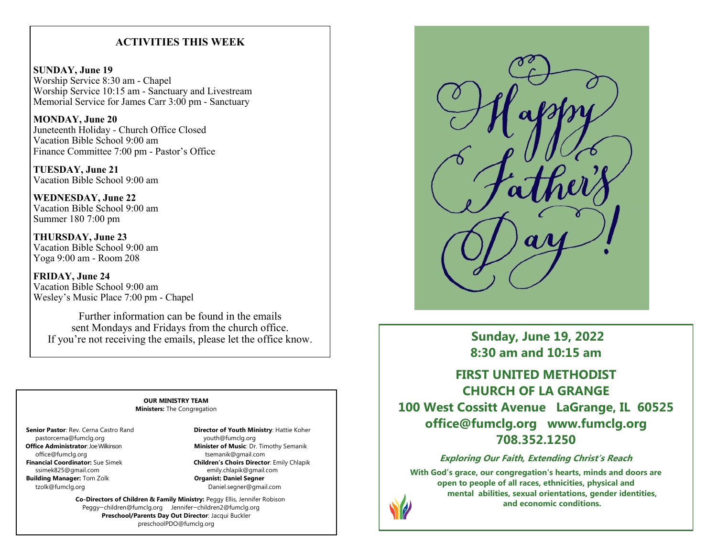## **ACTIVITIES THIS WEEK**

**SUNDAY, June 19** Worship Service 8:30 am - Chapel Worship Service 10:15 am - Sanctuary and Livestream Memorial Service for James Carr 3:00 pm - Sanctuary

**MONDAY, June 20** Juneteenth Holiday - Church Office Closed Vacation Bible School 9:00 am Finance Committee 7:00 pm - Pastor's Office

**TUESDAY, June 21** Vacation Bible School 9:00 am

**WEDNESDAY, June 22** Vacation Bible School 9:00 am Summer 180 7:00 pm

**THURSDAY, June 23** Vacation Bible School 9:00 am Yoga 9:00 am - Room 208

**FRIDAY, June 24** Vacation Bible School 9:00 am Wesley's Music Place 7:00 pm - Chapel

Further information can be found in the emails sent Mondays and Fridays from the church office. If you're not receiving the emails, please let the office know.

### **OUR MINISTRY TEAM Ministers:** The Congregation

pastorcerna@fumclg.org youth@fumclg.org office@fumclg.org details are the community of tsemanik@gmail.com ssimek825@gmail.com emily.chlapik@gmail.com<br>**ilding Manager:** Tom Zolk **emily.com emily.chlapik@gmail.com emily.chlapik@gmail.com Building Manager: Tom Zolk** tzolk@fumclg.org Daniel.segner@gmail.com

 **Senior Pastor**: Rev. Cerna Castro Rand **Director of Youth Ministry**: Hattie Koher  **Office Administrator**: Joe Wilkinson **Minister of Music**: Dr. Timothy Semanik  **Financial Coordinator:** Sue Simek **Children's Choirs Director**: Emily Chlapik

> **Co-Directors of Children & Family Ministry:** Peggy Ellis, Jennifer Robison Peggy—children@fumclg.org Jennifer—children2@fumclg.org **Preschool/Parents Day Out Director**: Jacqui Buckler preschoolPDO@fumclg.org



**Sunday, June 19, 2022 8:30 am and 10:15 am**

**FIRST UNITED METHODIST CHURCH OF LA GRANGE 100 West Cossitt Avenue LaGrange, IL 60525 office@fumclg.org www.fumclg.org 708.352.1250**

**Exploring Our Faith, Extending Christ's Reach**

**With God's grace, our congregation's hearts, minds and doors are open to people of all races, ethnicities, physical and mental abilities, sexual orientations, gender identities, and economic conditions.**